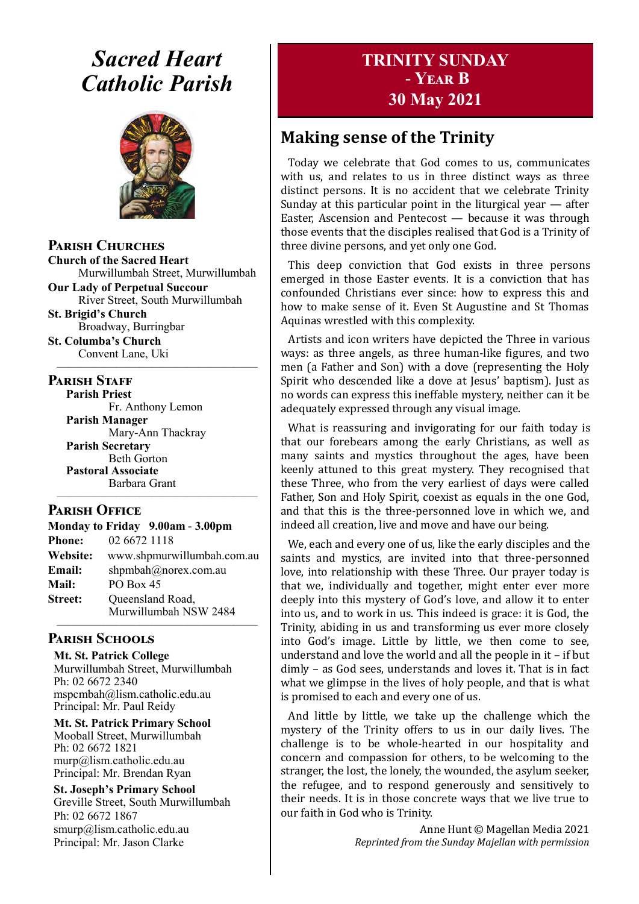# *Sacred Heart Catholic Parish*



**Parish Churches**

**Church of the Sacred Heart** Murwillumbah Street, Murwillumbah

**Our Lady of Perpetual Succour** River Street, South Murwillumbah

**St. Brigid's Church** Broadway, Burringbar **St. Columba's Church**

Convent Lane, Uki —————————————————

#### **PARISH STAFF**

**Parish Priest** Fr. Anthony Lemon

**Parish Manager** Mary-Ann Thackray **Parish Secretary** Beth Gorton **Pastoral Associate** Barbara Grant

### **Parish Office**

| Monday to Friday 9.00am - 3.00pm |                                           |
|----------------------------------|-------------------------------------------|
| <b>Phone:</b>                    | 02 6672 1118                              |
| Website:                         | www.shpmurwillumbah.com.au                |
| Email:                           | shpmbah@norex.com.au                      |
| <b>Mail:</b>                     | PO Box 45                                 |
| <b>Street:</b>                   | Queensland Road,<br>Murwillumbah NSW 2484 |
|                                  |                                           |

—————————————————

## **Parish Schools**

**Mt. St. Patrick College** Murwillumbah Street, Murwillumbah Ph: 02 6672 2340 mspcmbah@lism.catholic.edu.au Principal: Mr. Paul Reidy

**Mt. St. Patrick Primary School** Mooball Street, Murwillumbah Ph: 02 6672 1821 murp@lism.catholic.edu.au Principal: Mr. Brendan Ryan

**St. Joseph's Primary School** Greville Street, South Murwillumbah Ph: 02 6672 1867 smurp@lism.catholic.edu.au Principal: Mr. Jason Clarke

# **TRINITY SUNDAY - Year B 30 May 2021**

# **Making sense of the Trinity**

Today we celebrate that God comes to us, communicates with us, and relates to us in three distinct ways as three distinct persons. It is no accident that we celebrate Trinity Sunday at this particular point in the liturgical year  $-$  after Easter, Ascension and Pentecost — because it was through those events that the disciples realised that God is a Trinity of three divine persons, and yet only one God.

This deep conviction that God exists in three persons emerged in those Easter events. It is a conviction that has confounded Christians ever since: how to express this and how to make sense of it. Even St Augustine and St Thomas Aquinas wrestled with this complexity.

Artists and icon writers have depicted the Three in various ways: as three angels, as three human-like figures, and two men (a Father and Son) with a dove (representing the Holy Spirit who descended like a dove at Jesus' baptism). Just as no words can express this ineffable mystery, neither can it be adequately expressed through any visual image.

What is reassuring and invigorating for our faith today is that our forebears among the early Christians, as well as many saints and mystics throughout the ages, have been keenly attuned to this great mystery. They recognised that these Three, who from the very earliest of days were called Father, Son and Holy Spirit, coexist as equals in the one God, and that this is the three-personned love in which we, and indeed all creation, live and move and have our being.

We, each and every one of us, like the early disciples and the saints and mystics, are invited into that three-personned love, into relationship with these Three. Our prayer today is that we, individually and together, might enter ever more deeply into this mystery of God's love, and allow it to enter into us, and to work in us. This indeed is grace: it is God, the Trinity, abiding in us and transforming us ever more closely into God's image. Little by little, we then come to see, understand and love the world and all the people in it – if but dimly – as God sees, understands and loves it. That is in fact what we glimpse in the lives of holy people, and that is what is promised to each and every one of us.

And little by little, we take up the challenge which the mystery of the Trinity offers to us in our daily lives. The challenge is to be whole-hearted in our hospitality and concern and compassion for others, to be welcoming to the stranger, the lost, the lonely, the wounded, the asylum seeker, the refugee, and to respond generously and sensitively to their needs. It is in those concrete ways that we live true to our faith in God who is Trinity.

> Anne Hunt © Magellan Media 2021 *Reprinted from the Sunday Majellan with permission*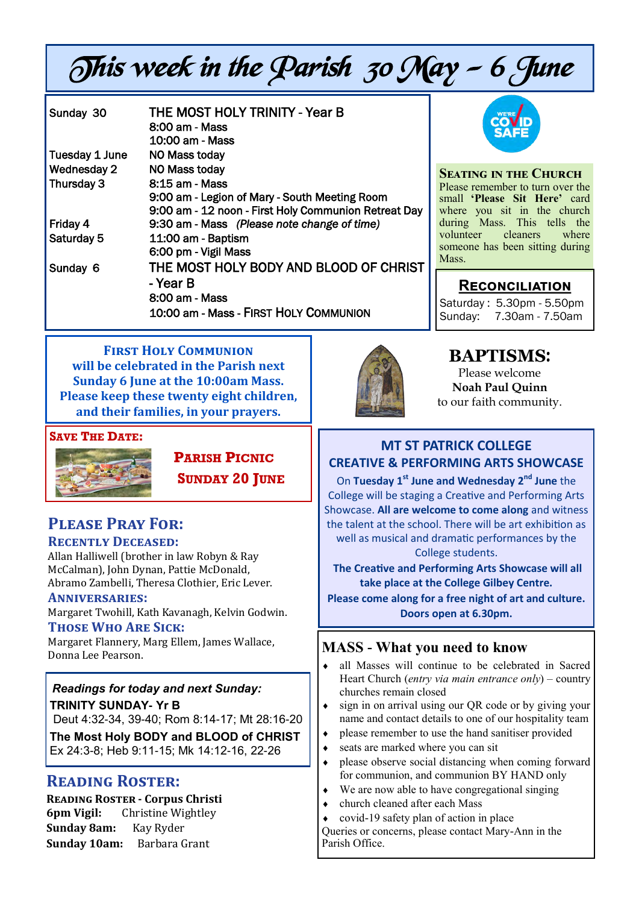# This week in the Parish 30 May - 6 June

| THE MOST HOLY TRINITY - Year B<br>8:00 am - Mass<br>10:00 am - Mass |
|---------------------------------------------------------------------|
| NO Mass today                                                       |
| NO Mass today                                                       |
| 8:15 am - Mass                                                      |
| 9:00 am - Legion of Mary - South Meeting Room                       |
| 9:00 am - 12 noon - First Holy Communion Retreat Day                |
| 9:30 am - Mass (Please note change of time)                         |
| 11:00 am - Baptism                                                  |
| 6:00 pm - Vigil Mass                                                |
| THE MOST HOLY BODY AND BLOOD OF CHRIST                              |
| - Year B                                                            |
| 8:00 am - Mass                                                      |
| 10:00 am - Mass - FIRST HOLY COMMUNION                              |
|                                                                     |



**Seating in the Church** Please remember to turn over the small **'Please Sit Here'** card where you sit in the church during Mass. This tells the volunteer cleaners where someone has been sitting during Mass.

# **Reconciliation**

Saturday : 5.30pm - 5.50pm Sunday: 7.30am - 7.50am

**First Holy Communion will be celebrated in the Parish next Sunday 6 June at the 10:00am Mass. Please keep these twenty eight children, and their families, in your prayers.** 

#### **SAVE THE DATE:**



 **PARISH PICNIC SUNDAY 20 JUNE**

# **Please Pray For:**

#### **Recently Deceased:**

Allan Halliwell (brother in law Robyn & Ray McCalman), John Dynan, Pattie McDonald, Abramo Zambelli, Theresa Clothier, Eric Lever.

#### **Anniversaries:**

Margaret Twohill, Kath Kavanagh, Kelvin Godwin.

# **Those Who Are Sick:**

Margaret Flannery, Marg Ellem, James Wallace, Donna Lee Pearson.

### *Readings for today and next Sunday:*  **TRINITY SUNDAY- Yr B**

Deut 4:32-34, 39-40; Rom 8:14-17; Mt 28:16-20 **The Most Holy BODY and BLOOD of CHRIST**  Ex 24:3-8; Heb 9:11-15; Mk 14:12-16, 22-26

# **Reading Roster:**

**Reading Roster - Corpus Christi 6pm Vigil:** Christine Wightley **Sunday 8am:** Kay Ryder **Sunday 10am:** Barbara Grant



#### **BAPTISMS**: Please welcome

 **Noah Paul Quinn** to our faith community.

## **MT ST PATRICK COLLEGE CREATIVE & PERFORMING ARTS SHOWCASE**

On **Tuesday 1st June and Wednesday 2nd June** the College will be staging a Creative and Performing Arts Showcase. **All are welcome to come along** and witness the talent at the school. There will be art exhibition as well as musical and dramatic performances by the College students.

**The Creative and Performing Arts Showcase will all take place at the College Gilbey Centre.** 

**Please come along for a free night of art and culture. Doors open at 6.30pm.**

# **MASS - What you need to know**

- all Masses will continue to be celebrated in Sacred Heart Church (*entry via main entrance only*) – country churches remain closed
- $\bullet$  sign in on arrival using our QR code or by giving your name and contact details to one of our hospitality team
- please remember to use the hand sanitiser provided
- seats are marked where you can sit
- please observe social distancing when coming forward for communion, and communion BY HAND only
- We are now able to have congregational singing
- church cleaned after each Mass
- covid-19 safety plan of action in place

Queries or concerns, please contact Mary-Ann in the Parish Office.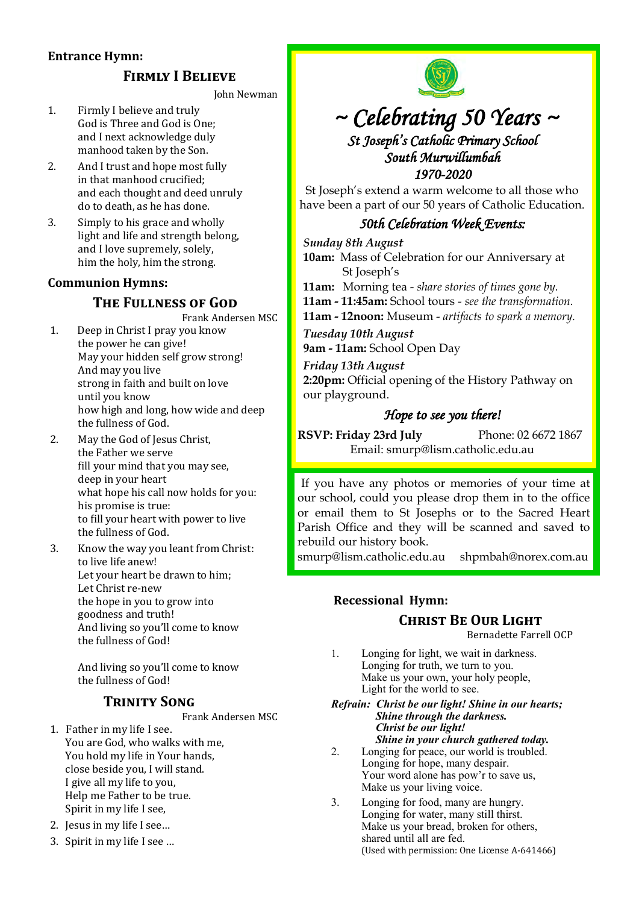### **Entrance Hymn:**

# **Firmly I Believe**

John Newman

- 1. Firmly I believe and truly God is Three and God is One; and I next acknowledge duly manhood taken by the Son.
- 2. And I trust and hope most fully in that manhood crucified; and each thought and deed unruly do to death, as he has done.
- 3. Simply to his grace and wholly light and life and strength belong, and I love supremely, solely, him the holy, him the strong.

#### **Communion Hymns:**

## **The Fullness of God**

Frank Andersen MSC

- 1. Deep in Christ I pray you know the power he can give! May your hidden self grow strong! And may you live strong in faith and built on love until you know how high and long, how wide and deep the fullness of God.
- 2. May the God of Jesus Christ, the Father we serve fill your mind that you may see, deep in your heart what hope his call now holds for you: his promise is true: to fill your heart with power to live the fullness of God.
- 3. Know the way you leant from Christ: to live life anew! Let your heart be drawn to him; Let Christ re-new the hope in you to grow into goodness and truth! And living so you'll come to know the fullness of God!

And living so you'll come to know the fullness of God!

## **Trinity Song**

Frank Andersen MSC

- 1. Father in my life I see. You are God, who walks with me, You hold my life in Your hands, close beside you, I will stand. I give all my life to you, Help me Father to be true. Spirit in my life I see,
- 2. Jesus in my life I see…
- 3. Spirit in my life I see …



# *~ Celebrating 50 Years ~*

# *St Joseph's Catholic Primary School South Murwillumbah 1970-2020*

St Joseph's extend a warm welcome to all those who have been a part of our 50 years of Catholic Education.

## *50th Celebration Week Events:*

*Sunday 8th August* 

**10am:** Mass of Celebration for our Anniversary at St Joseph's

**11am:** Morning tea - *share stories of times gone by.* 

**11am - 11:45am:** School tours - *see the transformation.* 

**11am - 12noon:** Museum - *artifacts to spark a memory.* 

*Tuesday 10th August*  **9am - 11am:** School Open Day

*Friday 13th August* 

**2:20pm:** Official opening of the History Pathway on our playground.

# *Hope to see you there!*

**RSVP: Friday 23rd July** Phone: 02 6672 1867 Email: smurp@lism.catholic.edu.au

If you have any photos or memories of your time at our school, could you please drop them in to the office or email them to St Josephs or to the Sacred Heart Parish Office and they will be scanned and saved to rebuild our history book.

smurp@lism.catholic.edu.au shpmbah@norex.com.au

### **Recessional Hymn:**

## **Christ Be Our Light**

Bernadette Farrell OCP

1. Longing for light, we wait in darkness. Longing for truth, we turn to you. Make us your own, your holy people, Light for the world to see.

*Refrain: Christ be our light! Shine in our hearts; Shine through the darkness. Christ be our light! Shine in your church gathered today.* 

- 2. Longing for peace, our world is troubled. Longing for hope, many despair. Your word alone has pow'r to save us, Make us your living voice.
- 3. Longing for food, many are hungry. Longing for water, many still thirst. Make us your bread, broken for others, shared until all are fed. (Used with permission: One License A-641466)